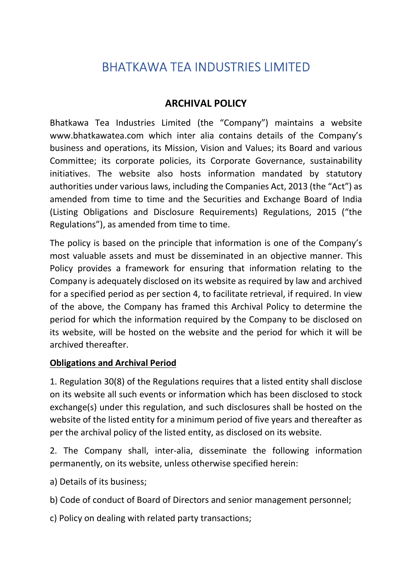## BHATKAWA TEA INDUSTRIES LIMITED

## ARCHIVAL POLICY

Bhatkawa Tea Industries Limited (the "Company") maintains a website www.bhatkawatea.com which inter alia contains details of the Company's business and operations, its Mission, Vision and Values; its Board and various Committee; its corporate policies, its Corporate Governance, sustainability initiatives. The website also hosts information mandated by statutory authorities under various laws, including the Companies Act, 2013 (the "Act") as amended from time to time and the Securities and Exchange Board of India (Listing Obligations and Disclosure Requirements) Regulations, 2015 ("the Regulations"), as amended from time to time.

The policy is based on the principle that information is one of the Company's most valuable assets and must be disseminated in an objective manner. This Policy provides a framework for ensuring that information relating to the Company is adequately disclosed on its website as required by law and archived for a specified period as per section 4, to facilitate retrieval, if required. In view of the above, the Company has framed this Archival Policy to determine the period for which the information required by the Company to be disclosed on its website, will be hosted on the website and the period for which it will be archived thereafter.

## Obligations and Archival Period

1. Regulation 30(8) of the Regulations requires that a listed entity shall disclose on its website all such events or information which has been disclosed to stock exchange(s) under this regulation, and such disclosures shall be hosted on the website of the listed entity for a minimum period of five years and thereafter as per the archival policy of the listed entity, as disclosed on its website.

2. The Company shall, inter-alia, disseminate the following information permanently, on its website, unless otherwise specified herein:

a) Details of its business;

b) Code of conduct of Board of Directors and senior management personnel;

c) Policy on dealing with related party transactions;